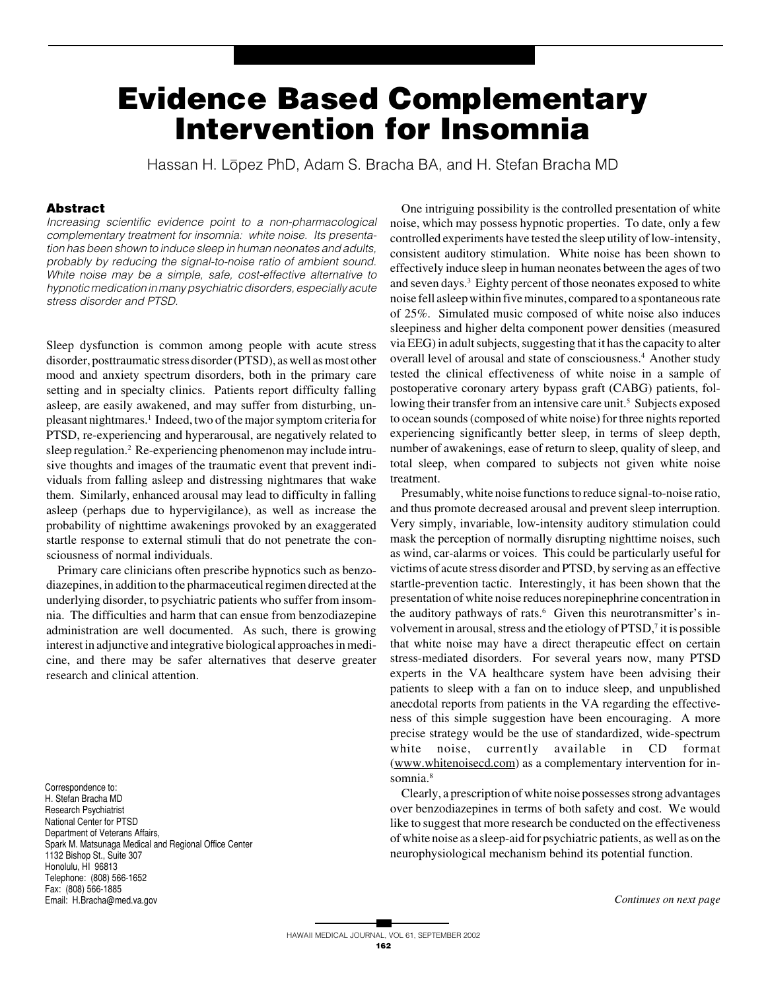# **Evidence Based Complementary Intervention for Insomnia**

Hassan H. Lōpez PhD, Adam S. Bracha BA, and H. Stefan Bracha MD

### **Abstract**

Increasing scientific evidence point to a non-pharmacological complementary treatment for insomnia: white noise. Its presentation has been shown to induce sleep in human neonates and adults, probably by reducing the signal-to-noise ratio of ambient sound. White noise may be a simple, safe, cost-effective alternative to hypnotic medication in many psychiatric disorders, especially acute stress disorder and PTSD.

Sleep dysfunction is common among people with acute stress disorder, posttraumatic stress disorder (PTSD), as well as most other mood and anxiety spectrum disorders, both in the primary care setting and in specialty clinics. Patients report difficulty falling asleep, are easily awakened, and may suffer from disturbing, unpleasant nightmares.<sup>1</sup> Indeed, two of the major symptom criteria for PTSD, re-experiencing and hyperarousal, are negatively related to sleep regulation.<sup>2</sup> Re-experiencing phenomenon may include intrusive thoughts and images of the traumatic event that prevent individuals from falling asleep and distressing nightmares that wake them. Similarly, enhanced arousal may lead to difficulty in falling asleep (perhaps due to hypervigilance), as well as increase the probability of nighttime awakenings provoked by an exaggerated startle response to external stimuli that do not penetrate the consciousness of normal individuals.

Primary care clinicians often prescribe hypnotics such as benzodiazepines, in addition to the pharmaceutical regimen directed at the underlying disorder, to psychiatric patients who suffer from insomnia. The difficulties and harm that can ensue from benzodiazepine administration are well documented. As such, there is growing interest in adjunctive and integrative biological approaches in medicine, and there may be safer alternatives that deserve greater research and clinical attention.

Correspondence to: H. Stefan Bracha MD Research Psychiatrist National Center for PTSD Department of Veterans Affairs, Spark M. Matsunaga Medical and Regional Office Center 1132 Bishop St., Suite 307 Honolulu, HI 96813 Telephone: (808) 566-1652 Fax: (808) 566-1885 Email: H.Bracha@med.va.gov *Continues on next page*

One intriguing possibility is the controlled presentation of white noise, which may possess hypnotic properties. To date, only a few controlled experiments have tested the sleep utility of low-intensity, consistent auditory stimulation. White noise has been shown to effectively induce sleep in human neonates between the ages of two and seven days.<sup>3</sup> Eighty percent of those neonates exposed to white noise fell asleep within five minutes, compared to a spontaneous rate of 25%. Simulated music composed of white noise also induces sleepiness and higher delta component power densities (measured via EEG) in adult subjects, suggesting that it has the capacity to alter overall level of arousal and state of consciousness.<sup>4</sup> Another study tested the clinical effectiveness of white noise in a sample of postoperative coronary artery bypass graft (CABG) patients, following their transfer from an intensive care unit.<sup>5</sup> Subjects exposed to ocean sounds (composed of white noise) for three nights reported experiencing significantly better sleep, in terms of sleep depth, number of awakenings, ease of return to sleep, quality of sleep, and total sleep, when compared to subjects not given white noise treatment.

Presumably, white noise functions to reduce signal-to-noise ratio, and thus promote decreased arousal and prevent sleep interruption. Very simply, invariable, low-intensity auditory stimulation could mask the perception of normally disrupting nighttime noises, such as wind, car-alarms or voices. This could be particularly useful for victims of acute stress disorder and PTSD, by serving as an effective startle-prevention tactic. Interestingly, it has been shown that the presentation of white noise reduces norepinephrine concentration in the auditory pathways of rats.<sup>6</sup> Given this neurotransmitter's involvement in arousal, stress and the etiology of PTSD,<sup>7</sup> it is possible that white noise may have a direct therapeutic effect on certain stress-mediated disorders. For several years now, many PTSD experts in the VA healthcare system have been advising their patients to sleep with a fan on to induce sleep, and unpublished anecdotal reports from patients in the VA regarding the effectiveness of this simple suggestion have been encouraging. A more precise strategy would be the use of standardized, wide-spectrum white noise, currently available in CD format (www.whitenoisecd.com) as a complementary intervention for insomnia.<sup>8</sup>

Clearly, a prescription of white noise possesses strong advantages over benzodiazepines in terms of both safety and cost. We would like to suggest that more research be conducted on the effectiveness of white noise as a sleep-aid for psychiatric patients, as well as on the neurophysiological mechanism behind its potential function.